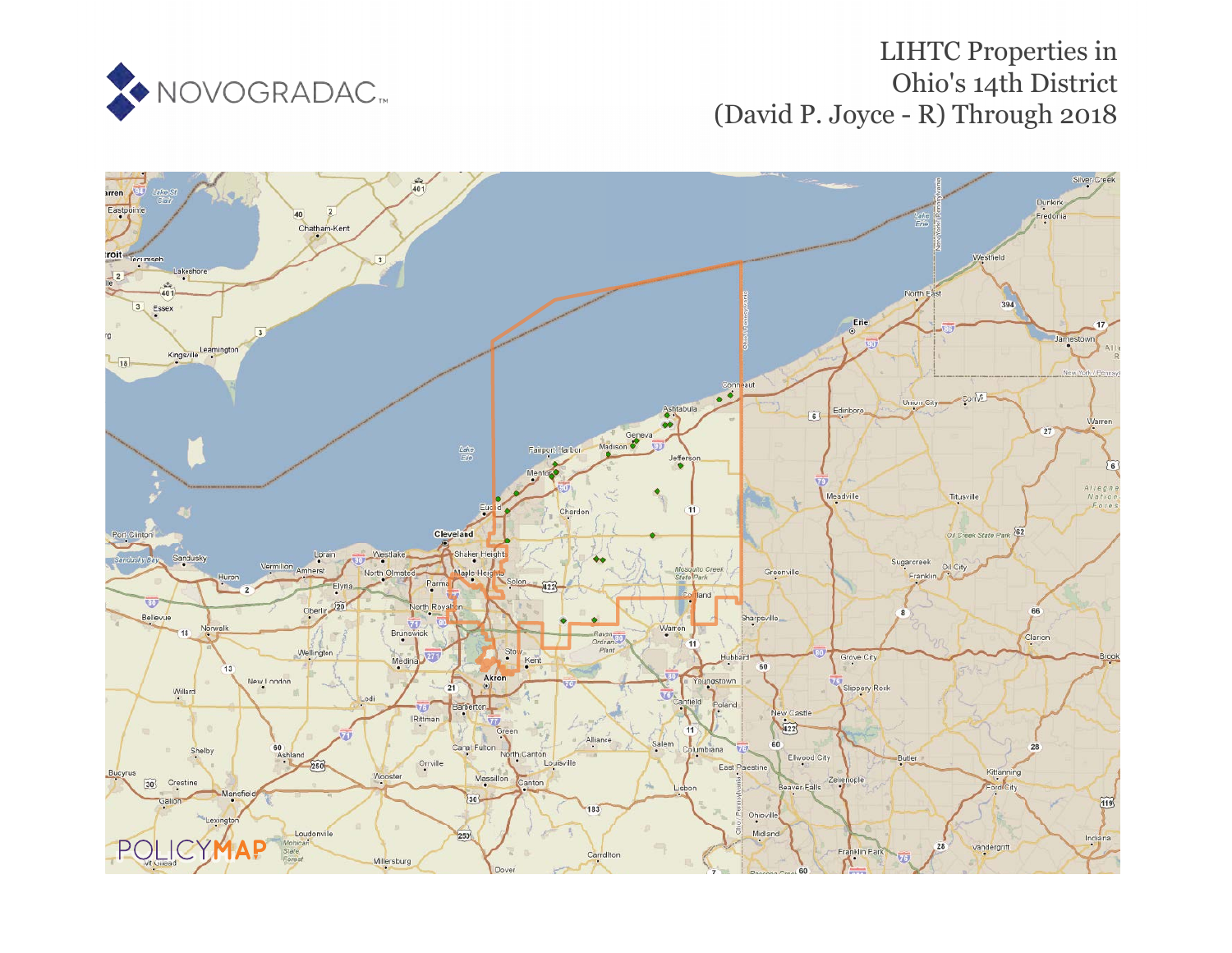

## LIHTC Properties in Ohio's 14th District (David P. Joyce - R) Through 2018

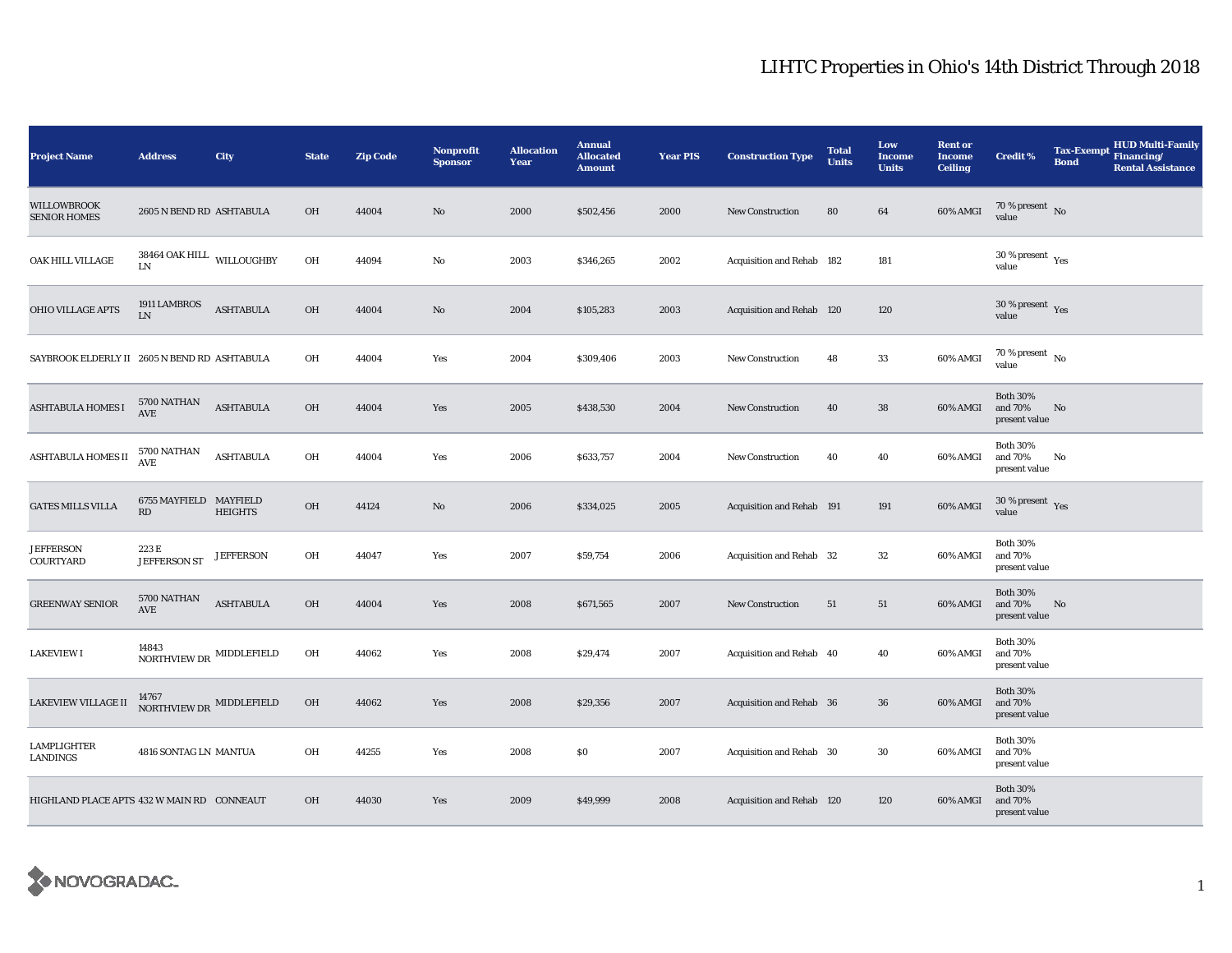## LIHTC Properties in Ohio's 14th District Through 2018

| <b>Project Name</b>                          | <b>Address</b>                            | City             | <b>State</b> | <b>Zip Code</b> | <b>Nonprofit</b><br><b>Sponsor</b> | <b>Allocation</b><br>Year | <b>Annual</b><br><b>Allocated</b><br><b>Amount</b> | <b>Year PIS</b> | <b>Construction Type</b>  | <b>Total</b><br><b>Units</b> | Low<br><b>Income</b><br><b>Units</b> | <b>Rent or</b><br><b>Income</b><br><b>Ceiling</b> | <b>Credit %</b>                                      | <b>Tax-Exempt</b><br><b>Bond</b> | HUD Multi-Family<br>Financing/<br><b>Rental Assistance</b> |
|----------------------------------------------|-------------------------------------------|------------------|--------------|-----------------|------------------------------------|---------------------------|----------------------------------------------------|-----------------|---------------------------|------------------------------|--------------------------------------|---------------------------------------------------|------------------------------------------------------|----------------------------------|------------------------------------------------------------|
| <b>WILLOWBROOK</b><br><b>SENIOR HOMES</b>    | 2605 N BEND RD ASHTABULA                  |                  | OH           | 44004           | No                                 | 2000                      | \$502,456                                          | 2000            | <b>New Construction</b>   | 80                           | 64                                   | 60% AMGI                                          | 70 % present $\,$ No $\,$<br>value                   |                                  |                                                            |
| OAK HILL VILLAGE                             | $38464$ OAK HILL $\quad$ WILLOUGHBY<br>LN |                  | OH           | 44094           | $\mathbf{No}$                      | 2003                      | \$346,265                                          | 2002            | Acquisition and Rehab 182 |                              | 181                                  |                                                   | 30 % present $\rm\thinspace\gamma_{\rm es}$<br>value |                                  |                                                            |
| <b>OHIO VILLAGE APTS</b>                     | 1911 LAMBROS<br>${\rm LN}$                | <b>ASHTABULA</b> | OH           | 44004           | No                                 | 2004                      | \$105,283                                          | 2003            | Acquisition and Rehab 120 |                              | 120                                  |                                                   | 30 % present $\gamma_{\rm{es}}$<br>value             |                                  |                                                            |
| SAYBROOK ELDERLY II 2605 N BEND RD ASHTABULA |                                           |                  | OH           | 44004           | Yes                                | 2004                      | \$309,406                                          | 2003            | <b>New Construction</b>   | 48                           | 33                                   | 60% AMGI                                          | $70$ % present $\,$ No $\,$<br>value                 |                                  |                                                            |
| <b>ASHTABULA HOMES I</b>                     | 5700 NATHAN<br>AVE                        | <b>ASHTABULA</b> | OH           | 44004           | Yes                                | 2005                      | \$438,530                                          | 2004            | <b>New Construction</b>   | 40                           | ${\bf 38}$                           | 60% AMGI                                          | <b>Both 30%</b><br>and 70%<br>present value          | No                               |                                                            |
| <b>ASHTABULA HOMES II</b>                    | 5700 NATHAN<br>$\operatorname{AVE}$       | <b>ASHTABULA</b> | OH           | 44004           | Yes                                | 2006                      | \$633,757                                          | 2004            | <b>New Construction</b>   | 40                           | 40                                   | 60% AMGI                                          | <b>Both 30%</b><br>and 70%<br>present value          | No                               |                                                            |
| <b>GATES MILLS VILLA</b>                     | 6755 MAYFIELD MAYFIELD<br>RD              | <b>HEIGHTS</b>   | OH           | 44124           | No                                 | 2006                      | \$334,025                                          | 2005            | Acquisition and Rehab 191 |                              | 191                                  | 60% AMGI                                          | $30$ % present $\,$ $\rm Yes$<br>value               |                                  |                                                            |
| <b>JEFFERSON</b><br>COURTYARD                | 223 E<br><b>JEFFERSON ST</b>              | <b>JEFFERSON</b> | OH           | 44047           | Yes                                | 2007                      | \$59,754                                           | 2006            | Acquisition and Rehab 32  |                              | 32                                   | 60% AMGI                                          | <b>Both 30%</b><br>and 70%<br>present value          |                                  |                                                            |
| <b>GREENWAY SENIOR</b>                       | 5700 NATHAN<br>AVE                        | <b>ASHTABULA</b> | OH           | 44004           | Yes                                | 2008                      | \$671,565                                          | 2007            | New Construction          | 51                           | 51                                   | 60% AMGI                                          | <b>Both 30%</b><br>and 70%<br>present value          | No                               |                                                            |
| <b>LAKEVIEW I</b>                            | 14843<br>NORTHVIEW DR $\,$ MIDDLEFIELD    |                  | OH           | 44062           | Yes                                | 2008                      | \$29,474                                           | 2007            | Acquisition and Rehab 40  |                              | 40                                   | 60% AMGI                                          | <b>Both 30%</b><br>and 70%<br>present value          |                                  |                                                            |
| LAKEVIEW VILLAGE II                          | NORTHVIEW DR MIDDLEFIELD                  |                  | OH           | 44062           | Yes                                | 2008                      | \$29,356                                           | 2007            | Acquisition and Rehab 36  |                              | $36\,$                               | 60% AMGI                                          | <b>Both 30%</b><br>and 70%<br>present value          |                                  |                                                            |
| LAMPLIGHTER<br>LANDINGS                      | 4816 SONTAG LN MANTUA                     |                  | OH           | 44255           | Yes                                | 2008                      | \$0                                                | 2007            | Acquisition and Rehab 30  |                              | 30                                   | 60% AMGI                                          | <b>Both 30%</b><br>and 70%<br>present value          |                                  |                                                            |
| HIGHLAND PLACE APTS 432 W MAIN RD CONNEAUT   |                                           |                  | OH           | 44030           | Yes                                | 2009                      | \$49,999                                           | 2008            | Acquisition and Rehab 120 |                              | 120                                  | 60% AMGI                                          | <b>Both 30%</b><br>and 70%<br>present value          |                                  |                                                            |

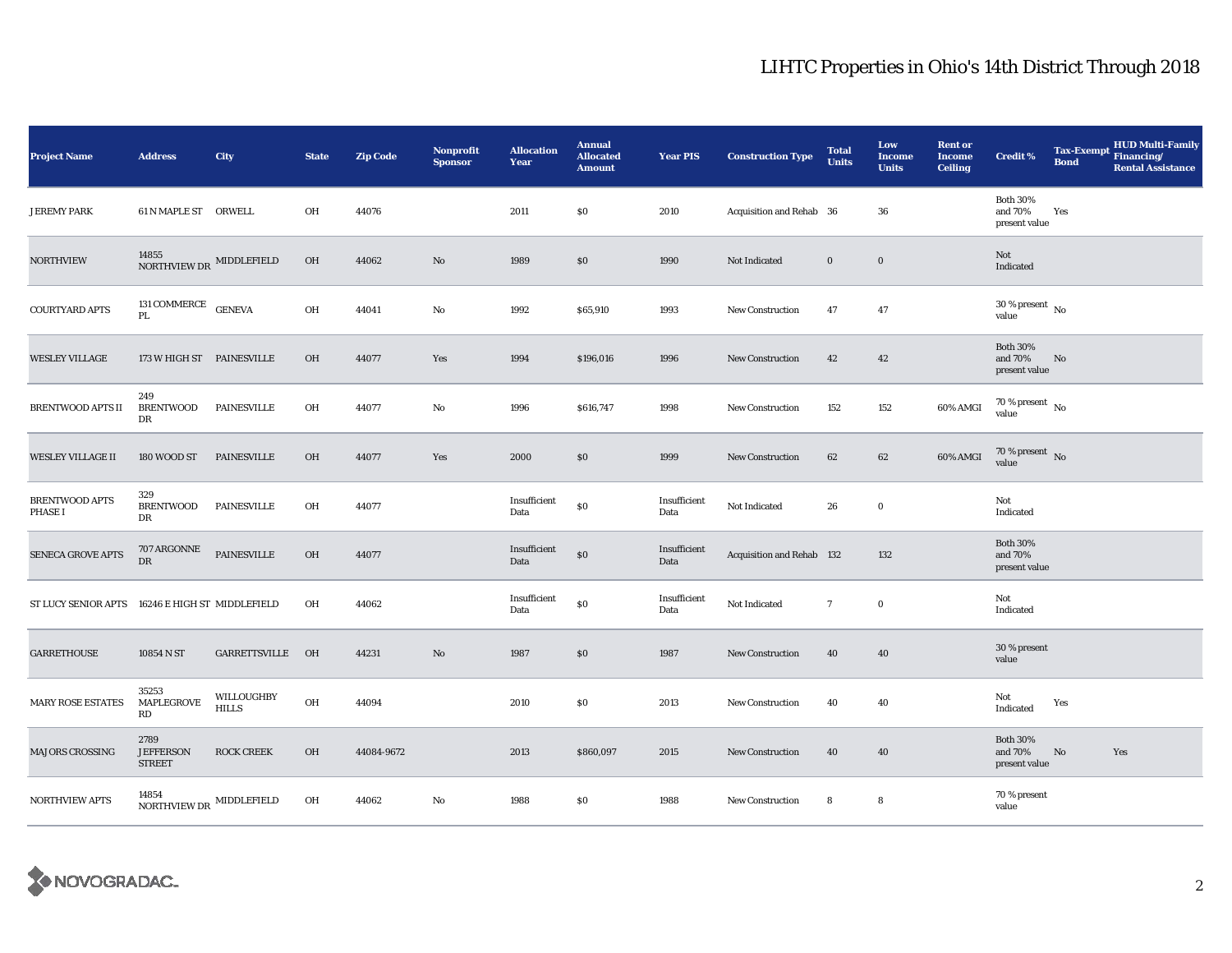## LIHTC Properties in Ohio's 14th District Through 2018

| <b>Project Name</b>                             | <b>Address</b>                            | City                       | <b>State</b> | <b>Zip Code</b> | Nonprofit<br><b>Sponsor</b> | <b>Allocation</b><br>Year | <b>Annual</b><br><b>Allocated</b><br><b>Amount</b> | <b>Year PIS</b>      | <b>Construction Type</b>         | <b>Total</b><br><b>Units</b> | Low<br><b>Income</b><br><b>Units</b> | <b>Rent or</b><br><b>Income</b><br><b>Ceiling</b> | <b>Credit %</b>                             | <b>Bond</b> | <b>HUD Multi-Family</b><br>Tax-Exempt Financing/<br><b>Rental Assistance</b> |
|-------------------------------------------------|-------------------------------------------|----------------------------|--------------|-----------------|-----------------------------|---------------------------|----------------------------------------------------|----------------------|----------------------------------|------------------------------|--------------------------------------|---------------------------------------------------|---------------------------------------------|-------------|------------------------------------------------------------------------------|
| <b>JEREMY PARK</b>                              | 61 N MAPLE ST ORWELL                      |                            | OH           | 44076           |                             | 2011                      | \$0                                                | 2010                 | Acquisition and Rehab 36         |                              | 36                                   |                                                   | <b>Both 30%</b><br>and 70%<br>present value | Yes         |                                                                              |
| <b>NORTHVIEW</b>                                | 14855 $$\sf{NORTHVIEW\,DR}~$$ MIDDLEFIELD |                            | OH           | 44062           | No                          | 1989                      | \$0                                                | 1990                 | Not Indicated                    | $\bf{0}$                     | $\mathbf 0$                          |                                                   | Not<br>Indicated                            |             |                                                                              |
| <b>COURTYARD APTS</b>                           | 131 COMMERCE $\rm$ GENEVA<br>PL           |                            | OH           | 44041           | No                          | 1992                      | \$65,910                                           | 1993                 | New Construction                 | 47                           | 47                                   |                                                   | $30$ % present $\,$ No $\,$<br>value        |             |                                                                              |
| <b>WESLEY VILLAGE</b>                           | 173 W HIGH ST PAINESVILLE                 |                            | <b>OH</b>    | 44077           | Yes                         | 1994                      | \$196,016                                          | 1996                 | <b>New Construction</b>          | 42                           | 42                                   |                                                   | <b>Both 30%</b><br>and 70%<br>present value | No          |                                                                              |
| BRENTWOOD APTS II                               | 249<br><b>BRENTWOOD</b><br>DR             | PAINESVILLE                | OH           | 44077           | No                          | 1996                      | \$616,747                                          | 1998                 | <b>New Construction</b>          | 152                          | 152                                  | 60% AMGI                                          | $70\,\%$ present $_{\, \rm No}$<br>value    |             |                                                                              |
| <b>WESLEY VILLAGE II</b>                        | 180 WOOD ST                               | <b>PAINESVILLE</b>         | OH           | 44077           | Yes                         | 2000                      | \$0                                                | 1999                 | <b>New Construction</b>          | 62                           | 62                                   | 60% AMGI                                          | $70$ % present $\,$ No value                |             |                                                                              |
| <b>BRENTWOOD APTS</b><br><b>PHASE I</b>         | 329<br><b>BRENTWOOD</b><br>DR             | <b>PAINESVILLE</b>         | OH           | 44077           |                             | Insufficient<br>Data      | \$0                                                | Insufficient<br>Data | Not Indicated                    | 26                           | $\bf{0}$                             |                                                   | Not<br>Indicated                            |             |                                                                              |
| SENECA GROVE APTS                               | 707 ARGONNE<br>${\rm DR}$                 | PAINESVILLE                | OH           | 44077           |                             | Insufficient<br>Data      | \$0                                                | Insufficient<br>Data | <b>Acquisition and Rehab 132</b> |                              | 132                                  |                                                   | <b>Both 30%</b><br>and 70%<br>present value |             |                                                                              |
| ST LUCY SENIOR APTS 16246 E HIGH ST MIDDLEFIELD |                                           |                            | OH           | 44062           |                             | Insufficient<br>Data      | \$0                                                | Insufficient<br>Data | Not Indicated                    | $\mathbf{7}$                 | $\bf{0}$                             |                                                   | Not<br>Indicated                            |             |                                                                              |
| <b>GARRETHOUSE</b>                              | 10854 N ST                                | GARRETTSVILLE OH           |              | 44231           | $\mathbf{N}\mathbf{o}$      | 1987                      | \$0                                                | 1987                 | <b>New Construction</b>          | 40                           | 40                                   |                                                   | 30 % present<br>value                       |             |                                                                              |
| <b>MARY ROSE ESTATES</b>                        | 35253<br>MAPLEGROVE<br>RD                 | WILLOUGHBY<br><b>HILLS</b> | OH           | 44094           |                             | 2010                      | $\$0$                                              | 2013                 | <b>New Construction</b>          | 40                           | 40                                   |                                                   | Not<br>Indicated                            | Yes         |                                                                              |
| <b>MAJORS CROSSING</b>                          | 2789<br><b>JEFFERSON</b><br><b>STREET</b> | <b>ROCK CREEK</b>          | OH           | 44084-9672      |                             | 2013                      | \$860,097                                          | 2015                 | <b>New Construction</b>          | 40                           | 40                                   |                                                   | <b>Both 30%</b><br>and 70%<br>present value | No          | Yes                                                                          |
| NORTHVIEW APTS                                  | 14854<br>NORTHVIEW DR $\,$ MIDDLEFIELD    |                            | OH           | 44062           | No                          | 1988                      | \$0                                                | 1988                 | <b>New Construction</b>          | 8                            | 8                                    |                                                   | 70 % present<br>value                       |             |                                                                              |